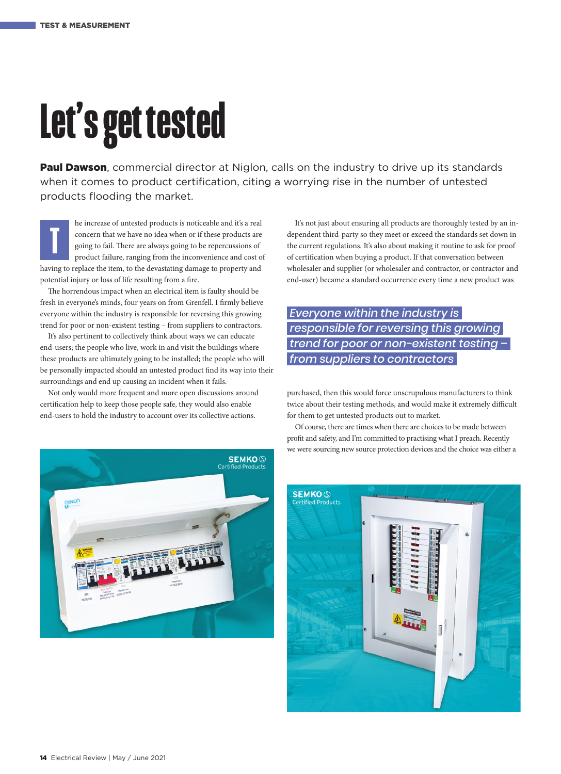## **Let's get tested**

Paul Dawson, commercial director at Niglon, calls on the industry to drive up its standards when it comes to product certification, citing a worrying rise in the number of untested products flooding the market.

he increase of untested products is noticeable and it's a real concern that we have no idea when or if these products are going to fail. There are always going to be repercussions of product failure, ranging from the inconvenience and cost of having to replace the item, to the devastating damage to property and potential injury or loss of life resulting from a fire. **T**

The horrendous impact when an electrical item is faulty should be fresh in everyone's minds, four years on from Grenfell. I firmly believe everyone within the industry is responsible for reversing this growing trend for poor or non-existent testing – from suppliers to contractors.

It's also pertinent to collectively think about ways we can educate end-users; the people who live, work in and visit the buildings where these products are ultimately going to be installed; the people who will be personally impacted should an untested product find its way into their surroundings and end up causing an incident when it fails.

Not only would more frequent and more open discussions around certification help to keep those people safe, they would also enable end-users to hold the industry to account over its collective actions.



It's not just about ensuring all products are thoroughly tested by an independent third-party so they meet or exceed the standards set down in the current regulations. It's also about making it routine to ask for proof of certification when buying a product. If that conversation between wholesaler and supplier (or wholesaler and contractor, or contractor and end-user) became a standard occurrence every time a new product was

## *Everyone within the industry is responsible for reversing this growing trend for poor or non-existent testing – from suppliers to contractors*

purchased, then this would force unscrupulous manufacturers to think twice about their testing methods, and would make it extremely difficult for them to get untested products out to market.

Of course, there are times when there are choices to be made between profit and safety, and I'm committed to practising what I preach. Recently we were sourcing new source protection devices and the choice was either a